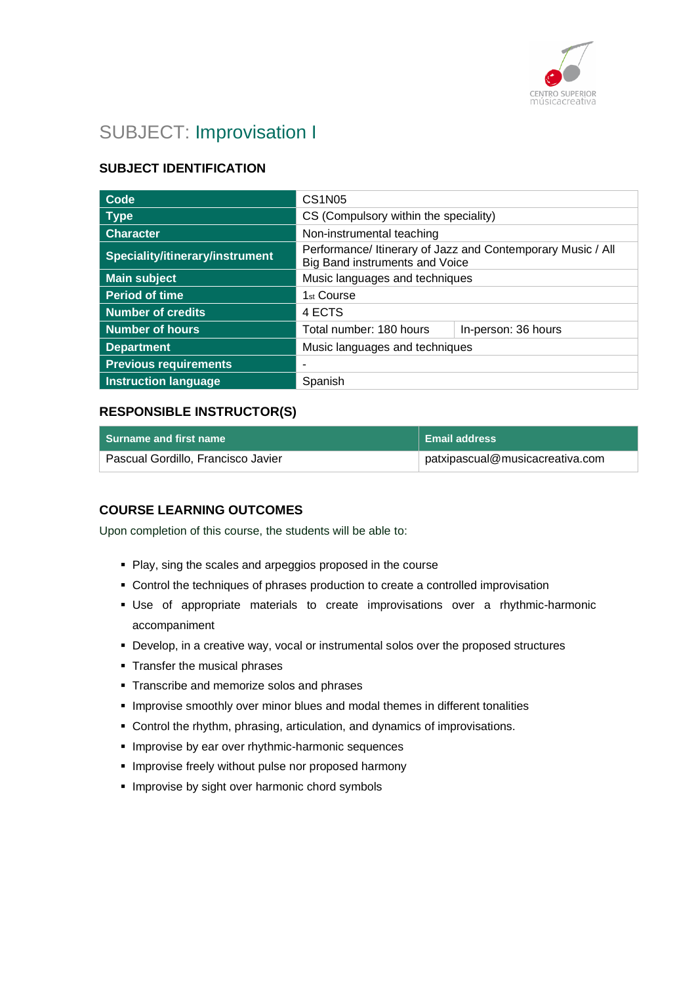

# SUBJECT: Improvisation I

## **SUBJECT IDENTIFICATION**

| Code                            | <b>CS1N05</b>                                                                                 |  |
|---------------------------------|-----------------------------------------------------------------------------------------------|--|
| <b>Type</b>                     | CS (Compulsory within the speciality)                                                         |  |
| <b>Character</b>                | Non-instrumental teaching                                                                     |  |
| Speciality/itinerary/instrument | Performance/ Itinerary of Jazz and Contemporary Music / All<br>Big Band instruments and Voice |  |
| <b>Main subject</b>             | Music languages and techniques                                                                |  |
| <b>Period of time</b>           | 1 <sub>st</sub> Course                                                                        |  |
| <b>Number of credits</b>        | 4 ECTS                                                                                        |  |
| <b>Number of hours</b>          | Total number: 180 hours<br>In-person: 36 hours                                                |  |
| <b>Department</b>               | Music languages and techniques                                                                |  |
| <b>Previous requirements</b>    | ۰                                                                                             |  |
| <b>Instruction language</b>     | Spanish                                                                                       |  |

### **RESPONSIBLE INSTRUCTOR(S)**

| <b>Surname and first name</b>      | ∣ Email address                 |
|------------------------------------|---------------------------------|
| Pascual Gordillo, Francisco Javier | patxipascual@musicacreativa.com |

### **COURSE LEARNING OUTCOMES**

Upon completion of this course, the students will be able to:

- Play, sing the scales and arpeggios proposed in the course
- Control the techniques of phrases production to create a controlled improvisation
- Use of appropriate materials to create improvisations over a rhythmic-harmonic accompaniment
- Develop, in a creative way, vocal or instrumental solos over the proposed structures
- **Transfer the musical phrases**
- **Transcribe and memorize solos and phrases**
- **.** Improvise smoothly over minor blues and modal themes in different tonalities
- Control the rhythm, phrasing, articulation, and dynamics of improvisations.
- **.** Improvise by ear over rhythmic-harmonic sequences
- **.** Improvise freely without pulse nor proposed harmony
- **.** Improvise by sight over harmonic chord symbols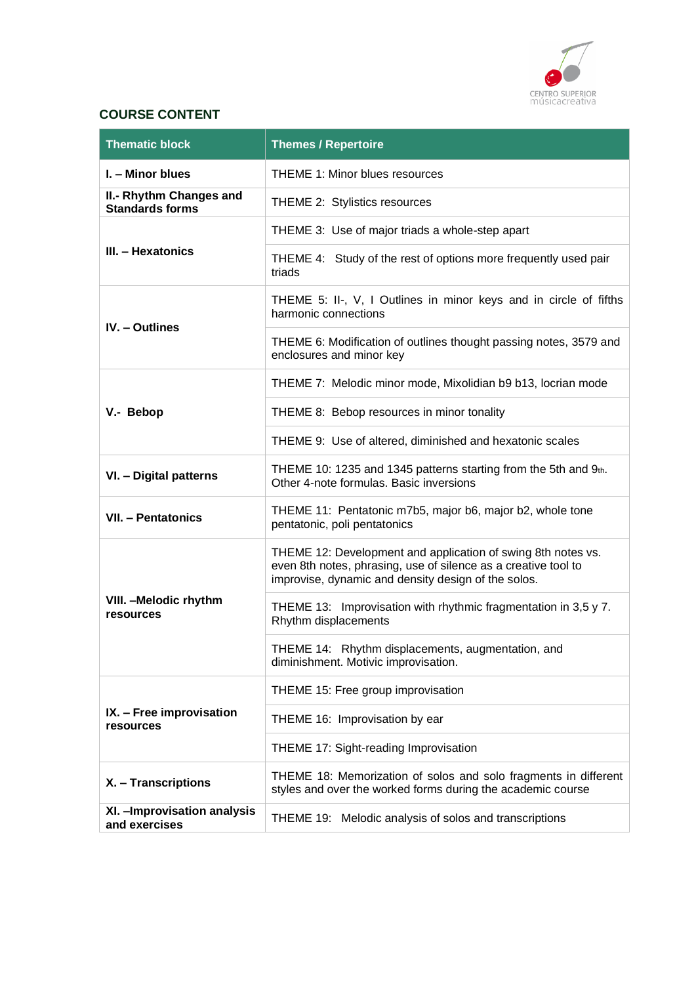

### **COURSE CONTENT**

| <b>Thematic block</b>                             | <b>Themes / Repertoire</b>                                                                                                                                                            |
|---------------------------------------------------|---------------------------------------------------------------------------------------------------------------------------------------------------------------------------------------|
| I. - Minor blues                                  | THEME 1: Minor blues resources                                                                                                                                                        |
| II.- Rhythm Changes and<br><b>Standards forms</b> | THEME 2: Stylistics resources                                                                                                                                                         |
|                                                   | THEME 3: Use of major triads a whole-step apart                                                                                                                                       |
| III. - Hexatonics                                 | THEME 4: Study of the rest of options more frequently used pair<br>triads                                                                                                             |
| <b>IV.</b> - Outlines                             | THEME 5: II-, V, I Outlines in minor keys and in circle of fifths<br>harmonic connections                                                                                             |
|                                                   | THEME 6: Modification of outlines thought passing notes, 3579 and<br>enclosures and minor key                                                                                         |
|                                                   | THEME 7: Melodic minor mode, Mixolidian b9 b13, locrian mode                                                                                                                          |
| V.- Bebop                                         | THEME 8: Bebop resources in minor tonality                                                                                                                                            |
|                                                   | THEME 9: Use of altered, diminished and hexatonic scales                                                                                                                              |
| VI. - Digital patterns                            | THEME 10: 1235 and 1345 patterns starting from the 5th and 9th.<br>Other 4-note formulas. Basic inversions                                                                            |
| VII. - Pentatonics                                | THEME 11: Pentatonic m7b5, major b6, major b2, whole tone<br>pentatonic, poli pentatonics                                                                                             |
| VIII. - Melodic rhythm<br>resources               | THEME 12: Development and application of swing 8th notes vs.<br>even 8th notes, phrasing, use of silence as a creative tool to<br>improvise, dynamic and density design of the solos. |
|                                                   | THEME 13: Improvisation with rhythmic fragmentation in 3,5 y 7.<br>Rhythm displacements                                                                                               |
|                                                   | THEME 14: Rhythm displacements, augmentation, and<br>diminishment. Motivic improvisation.                                                                                             |
|                                                   | THEME 15: Free group improvisation                                                                                                                                                    |
| IX. - Free improvisation<br>resources             | THEME 16: Improvisation by ear                                                                                                                                                        |
|                                                   | THEME 17: Sight-reading Improvisation                                                                                                                                                 |
| X. - Transcriptions                               | THEME 18: Memorization of solos and solo fragments in different<br>styles and over the worked forms during the academic course                                                        |
| XI. - Improvisation analysis<br>and exercises     | THEME 19: Melodic analysis of solos and transcriptions                                                                                                                                |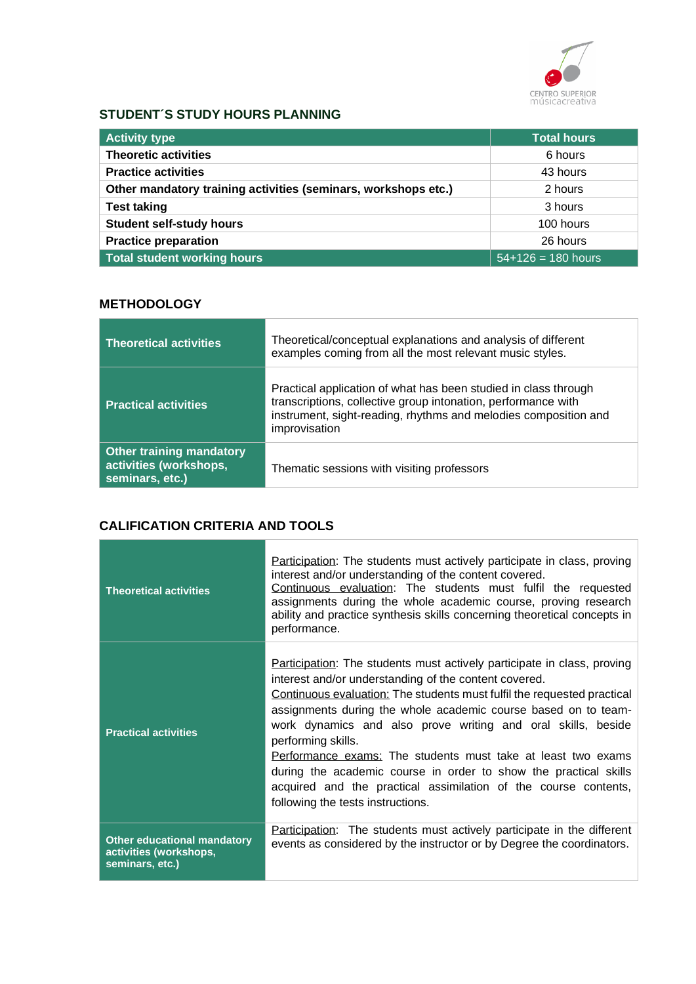

### **STUDENT´S STUDY HOURS PLANNING**

| <b>Activity type</b>                                           | <b>Total hours</b>   |
|----------------------------------------------------------------|----------------------|
| <b>Theoretic activities</b>                                    | 6 hours              |
| <b>Practice activities</b>                                     | 43 hours             |
| Other mandatory training activities (seminars, workshops etc.) | 2 hours              |
| <b>Test taking</b>                                             | 3 hours              |
| <b>Student self-study hours</b>                                | 100 hours            |
| <b>Practice preparation</b>                                    | 26 hours             |
| <b>Total student working hours</b>                             | $54+126 = 180$ hours |

### **METHODOLOGY**

| <b>Theoretical activities</b>                                                | Theoretical/conceptual explanations and analysis of different<br>examples coming from all the most relevant music styles.                                                                                            |
|------------------------------------------------------------------------------|----------------------------------------------------------------------------------------------------------------------------------------------------------------------------------------------------------------------|
| <b>Practical activities</b>                                                  | Practical application of what has been studied in class through<br>transcriptions, collective group intonation, performance with<br>instrument, sight-reading, rhythms and melodies composition and<br>improvisation |
| <b>Other training mandatory</b><br>activities (workshops,<br>seminars, etc.) | Thematic sessions with visiting professors                                                                                                                                                                           |

### **CALIFICATION CRITERIA AND TOOLS**

the control of the control of the control of

| <b>Theoretical activities</b>                                                   | <b>Participation:</b> The students must actively participate in class, proving<br>interest and/or understanding of the content covered.<br>Continuous evaluation: The students must fulfil the requested<br>assignments during the whole academic course, proving research<br>ability and practice synthesis skills concerning theoretical concepts in<br>performance.                                                                                                                                                                                                                                          |
|---------------------------------------------------------------------------------|-----------------------------------------------------------------------------------------------------------------------------------------------------------------------------------------------------------------------------------------------------------------------------------------------------------------------------------------------------------------------------------------------------------------------------------------------------------------------------------------------------------------------------------------------------------------------------------------------------------------|
| <b>Practical activities</b>                                                     | Participation: The students must actively participate in class, proving<br>interest and/or understanding of the content covered.<br>Continuous evaluation: The students must fulfil the requested practical<br>assignments during the whole academic course based on to team-<br>work dynamics and also prove writing and oral skills, beside<br>performing skills.<br>Performance exams: The students must take at least two exams<br>during the academic course in order to show the practical skills<br>acquired and the practical assimilation of the course contents,<br>following the tests instructions. |
| <b>Other educational mandatory</b><br>activities (workshops,<br>seminars, etc.) | <b>Participation:</b> The students must actively participate in the different<br>events as considered by the instructor or by Degree the coordinators.                                                                                                                                                                                                                                                                                                                                                                                                                                                          |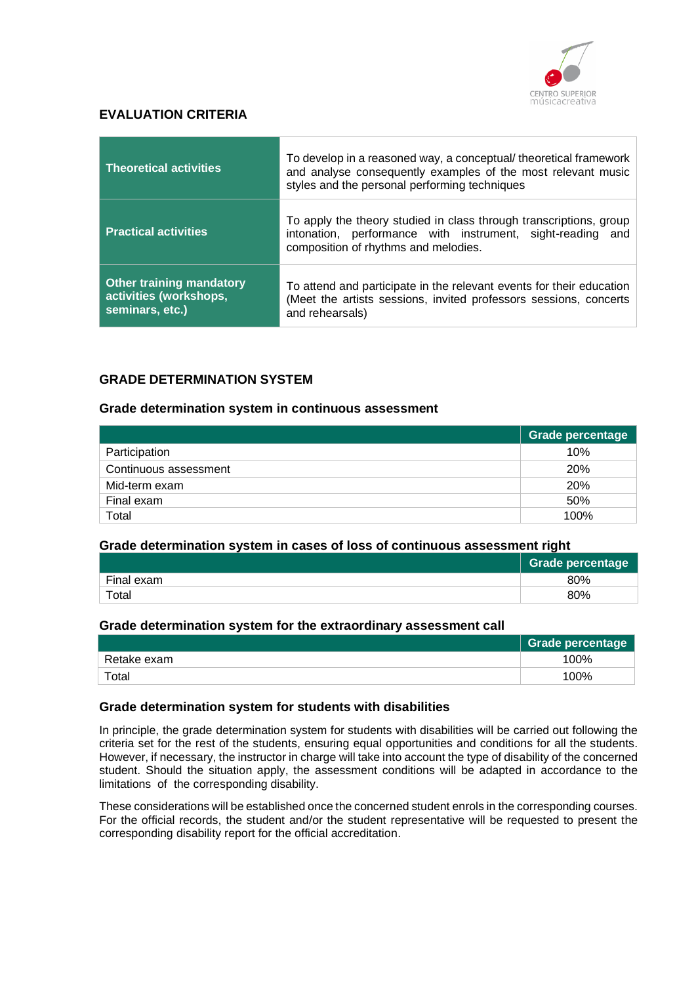

### **EVALUATION CRITERIA**

| <b>Theoretical activities</b>                                                | To develop in a reasoned way, a conceptual/ theoretical framework<br>and analyse consequently examples of the most relevant music<br>styles and the personal performing techniques |  |
|------------------------------------------------------------------------------|------------------------------------------------------------------------------------------------------------------------------------------------------------------------------------|--|
| <b>Practical activities</b>                                                  | To apply the theory studied in class through transcriptions, group<br>intonation, performance with instrument, sight-reading and<br>composition of rhythms and melodies.           |  |
| <b>Other training mandatory</b><br>activities (workshops,<br>seminars, etc.) | To attend and participate in the relevant events for their education<br>(Meet the artists sessions, invited professors sessions, concerts<br>and rehearsals)                       |  |

### **GRADE DETERMINATION SYSTEM**

#### **Grade determination system in continuous assessment**

|                       | Grade percentage |
|-----------------------|------------------|
| Participation         | 10%              |
| Continuous assessment | <b>20%</b>       |
| Mid-term exam         | <b>20%</b>       |
| Final exam            | 50%              |
| Total                 | 100%             |

#### **Grade determination system in cases of loss of continuous assessment right**

|                        | <b>Grade percentage</b> |
|------------------------|-------------------------|
| Final exam             | 80%                     |
| $\tau$ <sub>otal</sub> | 80%                     |

#### **Grade determination system for the extraordinary assessment call**

|             | <b>Grade percentage</b> |
|-------------|-------------------------|
| Retake exam | 100%                    |
| Total       | 100%                    |

#### **Grade determination system for students with disabilities**

In principle, the grade determination system for students with disabilities will be carried out following the criteria set for the rest of the students, ensuring equal opportunities and conditions for all the students. However, if necessary, the instructor in charge will take into account the type of disability of the concerned student. Should the situation apply, the assessment conditions will be adapted in accordance to the limitations of the corresponding disability.

These considerations will be established once the concerned student enrols in the corresponding courses. For the official records, the student and/or the student representative will be requested to present the corresponding disability report for the official accreditation.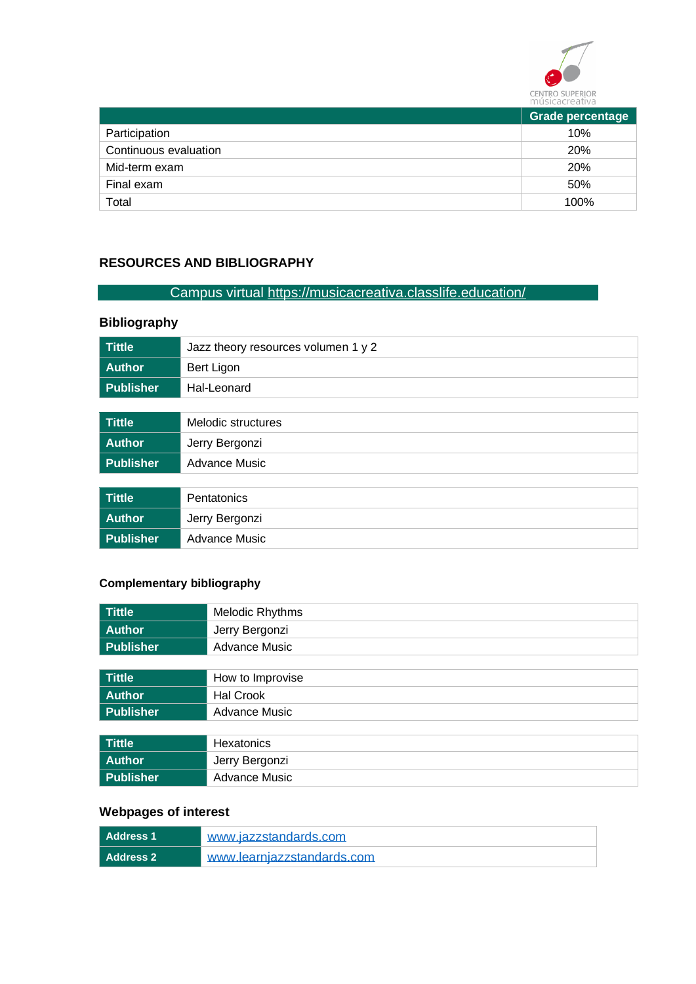

|                       | <b>Grade percentage</b> |
|-----------------------|-------------------------|
| Participation         | 10%                     |
| Continuous evaluation | <b>20%</b>              |
| Mid-term exam         | <b>20%</b>              |
| Final exam            | 50%                     |
| Total                 | 100%                    |
|                       |                         |

# **RESOURCES AND BIBLIOGRAPHY**

# Campus virtual<https://musicacreativa.classlife.education/>

# **Bibliography**

| <b>Tittle</b>    | Jazz theory resources volumen 1 y 2 |
|------------------|-------------------------------------|
| <b>Author</b>    | Bert Ligon                          |
| <b>Publisher</b> | Hal-Leonard                         |
|                  |                                     |
| <b>Tittle</b>    | Melodic structures                  |
| <b>Author</b>    | Jerry Bergonzi                      |
| <b>Publisher</b> | <b>Advance Music</b>                |
|                  |                                     |
| <b>Tittle</b>    | Pentatonics                         |
| <b>Author</b>    | Jerry Bergonzi                      |
| <b>Publisher</b> | <b>Advance Music</b>                |

### **Complementary bibliography**

| <b>Tittle</b>    | Melodic Rhythms      |
|------------------|----------------------|
| <b>Author</b>    | Jerry Bergonzi       |
| <b>Publisher</b> | <b>Advance Music</b> |
|                  |                      |
| <b>Tittle</b>    | How to Improvise     |
| <b>Author</b>    | Hal Crook            |
| <b>Publisher</b> | <b>Advance Music</b> |
|                  |                      |
| <b>Tittle</b>    | Hexatonics           |
| <b>Author</b>    | Jerry Bergonzi       |
| <b>Publisher</b> | <b>Advance Music</b> |

# **Webpages of interest**

| Address 1 | www.jazzstandards.com      |
|-----------|----------------------------|
| Address 2 | www.learnjazzstandards.com |